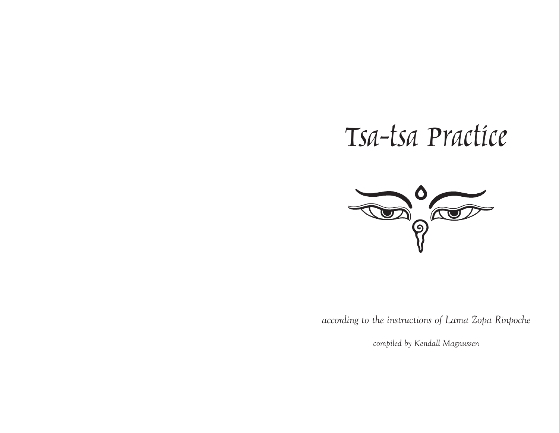# Tsa-tsa Practice



*according to the instructions of Lama Zopa Rinpoche*

*compiled by Kendall Magnussen*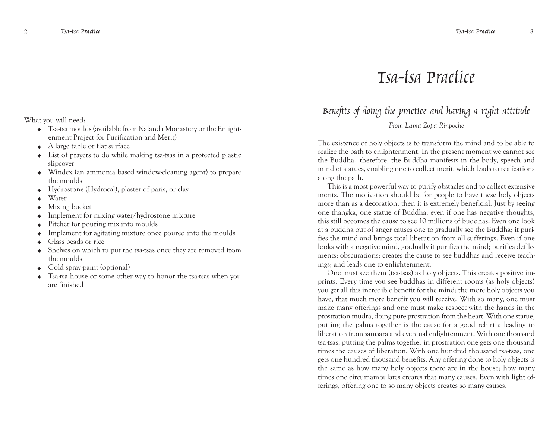### Tsa-tsa Practice

### Benefits of doing the practice and having a right attitude *From Lama Zopa Rinpoche*

The existence of holy objects is to transform the mind and to be able to realize the path to enlightenment. In the present moment we cannot see the Buddha…therefore, the Buddha manifests in the body, speech and mind of statues, enabling one to collect merit, which leads to realizations along the path.

This is a most powerful way to purify obstacles and to collect extensive merits. The motivation should be for people to have these holy objects more than as a decoration, then it is extremely beneficial. Just by seeing one thangka, one statue of Buddha, even if one has negative thoughts, this still becomes the cause to see 10 millions of buddhas. Even one look at a buddha out of anger causes one to gradually see the Buddha; it purifies the mind and brings total liberation from all sufferings. Even if one looks with a negative mind, gradually it purifies the mind; purifies defilements; obscurations; creates the cause to see buddhas and receive teachings; and leads one to enlightenment.

One must see them (tsa-tsas) as holy objects. This creates positive imprints. Every time you see buddhas in different rooms (as holy objects) you get all this incredible benefit for the mind; the more holy objects you have, that much more benefit you will receive. With so many, one must make many offerings and one must make respect with the hands in the prostration mudra, doing pure prostration from the heart. With one statue, putting the palms together is the cause for a good rebirth; leading to liberation from samsara and eventual enlightenment. With one thousand tsa-tsas, putting the palms together in prostration one gets one thousand times the causes of liberation. With one hundred thousand tsa-tsas, one gets one hundred thousand benefits. Any offering done to holy objects is the same as how many holy objects there are in the house; how many times one circumambulates creates that many causes. Even with light offerings, offering one to so many objects creates so many causes.

What you will need:

- · Tsa-tsa moulds (available from Nalanda Monastery or the Enlightenment Project for Purification and Merit)
- ·A large table or flat surface
- · List of prayers to do while making tsa-tsas in a protected plastic slipcover
- · Windex (an ammonia based window-cleaning agent) to prepare the moulds
- ·Hydrostone (Hydrocal), plaster of paris, or clay
- ·Water
- ·Mixing bucket
- ·Implement for mixing water/hydrostone mixture
- ·Pitcher for pouring mix into moulds
- ·Implement for agitating mixture once poured into the moulds
- ·Glass beads or rice
- · Shelves on which to put the tsa-tsas once they are removed from the moulds
- · Gold spray-paint (optional)
- · Tsa-tsa house or some other way to honor the tsa-tsas when you are finished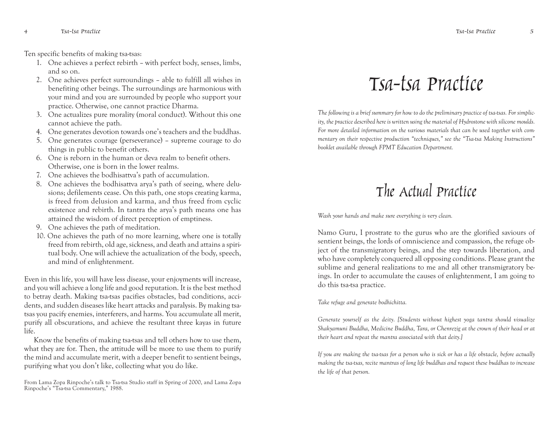Ten specific benefits of making tsa-tsas:

- 1. One achieves a perfect rebirth with perfect body, senses, limbs, and so on.
- 2. One achieves perfect surroundings able to fulfill all wishes in benefiting other beings. The surroundings are harmonious with your mind and you are surrounded by people who support your practice. Otherwise, one cannot practice Dharma.
- 3. One actualizes pure morality (moral conduct). Without this one cannot achieve the path.
- 4. One generates devotion towards one's teachers and the buddhas.
- 5. One generates courage (perseverance) supreme courage to do things in public to benefit others.
- 6. One is reborn in the human or deva realm to benefit others. Otherwise, one is born in the lower realms.
- 7. One achieves the bodhisattva's path of accumulation.
- 8. One achieves the bodhisattva arya's path of seeing, where delusions; defilements cease. On this path, one stops creating karma, is freed from delusion and karma, and thus freed from cyclic existence and rebirth. In tantra the arya's path means one has attained the wisdom of direct perception of emptiness.
- 9. One achieves the path of meditation.
- 10. One achieves the path of no more learning, where one is totally freed from rebirth, old age, sickness, and death and attains a spiritual body. One will achieve the actualization of the body, speech, and mind of enlightenment.

Even in this life, you will have less disease, your enjoyments will increase, and you will achieve a long life and good reputation. It is the best method to betray death. Making tsa-tsas pacifies obstacles, bad conditions, accidents, and sudden diseases like heart attacks and paralysis. By making tsatsas you pacify enemies, interferers, and harms. You accumulate all merit, purify all obscurations, and achieve the resultant three kayas in future life.

Know the benefits of making tsa-tsas and tell others how to use them, what they are for. Then, the attitude will be more to use them to purify the mind and accumulate merit, with a deeper benefit to sentient beings, purifying what you don't like, collecting what you do like.

From Lama Zopa Rinpoche's talk to Tsa-tsa Studio staff in Spring of 2000, and Lama Zopa Rinpoche's "Tsa-tsa Commentary," 1988.

### Tsa-tsa Practice

*The following is a brief summary for how to do the preliminary practice of tsa-tsas. For simplicity, the practice described here is written using the material of Hydrostone with silicone moulds. For more detailed information on the various materials that can be used together with commentary on their respective production "techniques," see the "Tsa-tsa Making Instructions" booklet available through FPMT Education Department.*

### The Actual Practice

*Wash your hands and make sure everything is very clean.*

Namo Guru, I prostrate to the gurus who are the glorified saviours of sentient beings, the lords of omniscience and compassion, the refuge object of the transmigratory beings, and the step towards liberation, and who have completely conquered all opposing conditions. Please grant the sublime and general realizations to me and all other transmigratory beings. In order to accumulate the causes of enlightenment, I am going to do this tsa-tsa practice.

*Take refuge and generate bodhichitta.*

*Generate yourself as the deity. [Students without highest yoga tantra should visualize Shakyamuni Buddha, Medicine Buddha, Tara, or Chenrezig at the crown of their head or at their heart and repeat the mantra associated with that deity.]*

*If you are making the tsa-tsas for a person who is sick or has a life obstacle, before actually making the tsa-tsas, recite mantras of long life buddhas and request these buddhas to increase the life of that person.*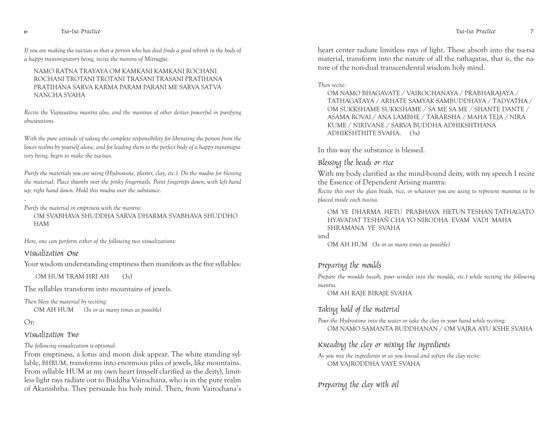*If you are making the tsa-tsas so that a person who has died finds a good rebirth in the body of a happy transmigratory being, recite the mantra of Mitrugpa:*

#### NAMO RATNA TRAYAYA OM KAMKANI KAMKANI ROCHANI ROCHANI TROTANI TROTANI TRASANI TRASANI PRATIHANA PRATIHANA SARVA KARMA PARAM PARANI ME SARVA SATVA NANCHA SVAHA

*Recite the Vajrasattva mantra also, and the mantras of other deities powerful in purifying obscurations.*

*With the pure attitude of taking the complete responsibility for liberating the person from the lower realms by yourself alone, and for leading them to the perfect body of a happy transmigratory being, begin to make the tsa-tsas.*

*Purify the materials you are using (Hydrostone, plaster, clay, etc.). Do the mudra for blessing the material: Place thumbs over the pinky fingernails. Point fingertips down, with left hand up; right hand down. Hold this mudra over the substance.*

#### *Purify the material in emptiness with the mantra:*

OM SVABHAVA SHUDDHA SARVA DHARMA SVABHAVA SHUDDHO HAM

*Here, one can perform either of the following two visualizations:*

#### Visualization One

Your wisdom understanding emptiness then manifests as the five syllables:

OM HUM TRAM HRI AH (*3x*)

The syllables transform into mountains of jewels.

*Then bless the material by reciting:* OM AH HUM *(3x or as many times as possible)*

#### Or:

#### Visualization Two

*The following visualization is optional:*

From emptiness, a lotus and moon disk appear. The white standing syllable, BHRUM, transforms into enormous piles of jewels, like mountains. From syllable HUM at my own heart (myself clarified as the deity), limitless light rays radiate out to Buddha Vairochana, who is in the pure realm of Akanishtha. They persuade his holy mind. Then, from Vairochana's heart center radiate limitless rays of light. These absorb into the tsa-tsa material, transform into the nature of all the tathagatas, that is, the nature of the non-dual transcendental wisdom holy mind.

#### *Then recite:*

OM NAMO BHAGAVATE / VAIROCHANAYA / PRABHARAJAYA / TATHAGATAYA / ARHATE SAMYAK SAMBUDDHAYA / TADYATHA / OM SUKKSHAME SUKKSHAME / SA ME SA ME / SHANTE DANTE / ASAMA ROVAI / ANA LAMBHE / TARARSHA / MAHA TEJA / NIRA KUME / NIRIVANE / SARVA BUDDHA ADHIKSHTHANA ADHIKSHTHITE SVAHA. (3x)

In this way the substance is blessed.

#### Blessing the beads or rice

With my body clarified as the mind-bound deity, with my speech I recite the Essence of Dependent Arising mantra:

*Recite this over the glass beads, rice, or whatever you are using to represent mantras to be placed inside each tsa-tsa.*

#### OM YE DHARMA HETU PRABHAVA HETUN TESHAN TATHAGATO HYAVADAT TESHAÑ CHA YO NIRODHA EVAM VADI MAHA SHRAMANA YE SVAHA

and

OM AH HUM *(3x or as many times as possible)*

#### Preparing the moulds

*Prepare the moulds (wash, pour windex into the moulds, etc.) while reciting the following mantra.*

OM AH RAJE BIRAJE SVAHA

#### Taking hold of the material

*Pour the Hydrostone into the water or take the clay in your hand while reciting:* OM NAMO SAMANTA BUDDHANAN / OM VAJRA AYU KSHE SVAHA

#### Kneading the clay or mixing the ingredients

*As you mix the ingredients or as you knead and soften the clay recite:* OM VAJRODDHA VAYE SVAHA

Preparing the clay with oil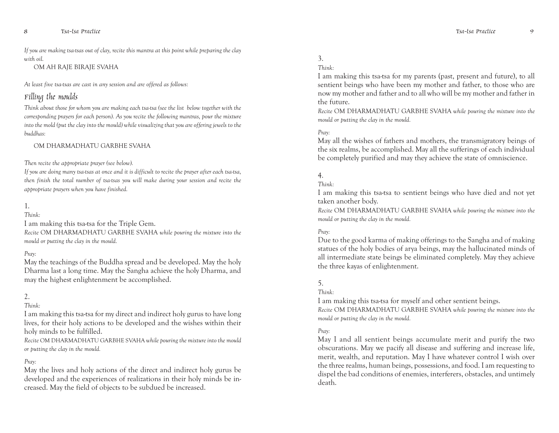*If you are making tsa-tsas out of clay, recite this mantra at this point while preparing the clay with oil.*

OM AH RAJE BIRAJE SVAHA

*At least five tsa-tsas are cast in any session and are offered as follows:*

#### Filling the moulds

*Think about those for whom you are making each tsa-tsa (see the list below together with the corresponding prayers for each person). As you recite the following mantras, pour the mixture into the mold (put the clay into the mould) while visualizing that you are offering jewels to the buddhas:*

#### OM DHARMADHATU GARBHE SVAHA

#### *Then recite the appropriate prayer (see below).*

*If you are doing many tsa-tsas at once and it is difficult to recite the prayer after each tsa-tsa, then finish the total number of tsa-tsas you will make during your session and recite the appropriate prayers when you have finished.*

#### 1.

#### *Think:*

I am making this tsa-tsa for the Triple Gem. *Recite* OM DHARMADHATU GARBHE SVAHA *while pouring the mixture into the mould or putting the clay in the mould.*

#### *Pray:*

May the teachings of the Buddha spread and be developed. May the holy Dharma last a long time. May the Sangha achieve the holy Dharma, and may the highest enlightenment be accomplished.

#### 2.

#### *Think:*

I am making this tsa-tsa for my direct and indirect holy gurus to have long lives, for their holy actions to be developed and the wishes within their holy minds to be fulfilled.

*Recite* OM DHARMADHATU GARBHE SVAHA *while pouring the mixture into the mould or putting the clay in the mould.*

#### *Pray:*

May the lives and holy actions of the direct and indirect holy gurus be developed and the experiences of realizations in their holy minds be increased. May the field of objects to be subdued be increased.

#### 3.

#### *Think:*

I am making this tsa-tsa for my parents (past, present and future), to all sentient beings who have been my mother and father, to those who are now my mother and father and to all who will be my mother and father in the future.

*Recite* OM DHARMADHATU GARBHE SVAHA *while pouring the mixture into the mould or putting the clay in the mould.*

#### *Pray:*

May all the wishes of fathers and mothers, the transmigratory beings of the six realms, be accomplished. May all the sufferings of each individual be completely purified and may they achieve the state of omniscience.

#### 4.

#### *Think:*

I am making this tsa-tsa to sentient beings who have died and not yet taken another body.

*Recite* OM DHARMADHATU GARBHE SVAHA *while pouring the mixture into the mould or putting the clay in the mould.*

#### *Pray:*

Due to the good karma of making offerings to the Sangha and of making statues of the holy bodies of arya beings, may the hallucinated minds of all intermediate state beings be eliminated completely. May they achieve the three kayas of enlightenment.

#### 5.

#### *Think:*

I am making this tsa-tsa for myself and other sentient beings. *Recite* OM DHARMADHATU GARBHE SVAHA *while pouring the mixture into the mould or putting the clay in the mould.*

#### *Pray:*

May I and all sentient beings accumulate merit and purify the two obscurations. May we pacify all disease and suffering and increase life, merit, wealth, and reputation. May I have whatever control I wish over the three realms, human beings, possessions, and food. I am requesting to dispel the bad conditions of enemies, interferers, obstacles, and untimely death.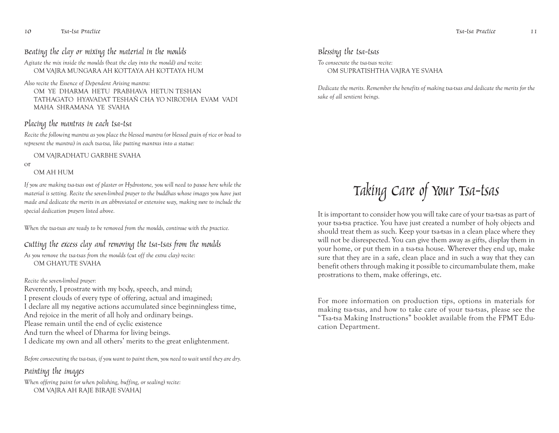#### Beating the clay or mixing the material in the moulds

*Agitate the mix inside the moulds (beat the clay into the mould) and recite:* OM VAJRA MUNGARA AH KOTTAYA AH KOTTAYA HUM

*Also recite the Essence of Dependent Arising mantra:* OM YE DHARMA HETU PRABHAVA HETUN TESHAN TATHAGATO HYAVADAT TESHAÑ CHA YO NIRODHA EVAM VADI MAHA SHRAMANA YE SVAHA

#### Placing the mantras in each tsa-tsa

*Recite the following mantra as you place the blessed mantra (or blessed grain of rice or bead to represent the mantra) in each tsa-tsa, like putting mantras into a statue:*

OM VAJRADHATU GARBHE SVAHA

or

#### OM AH HUM

*If you are making tsa-tsas out of plaster or Hydrostone, you will need to pause here while the material is setting. Recite the seven-limbed prayer to the buddhas whose images you have just made and dedicate the merits in an abbreviated or extensive way, making sure to include the special dedication prayers listed above.*

*When the tsa-tsas are ready to be removed from the moulds, continue with the practice.*

#### Cutting the excess clay and removing the tsa-tsas from the moulds

*As you remove the tsa-tsas from the moulds (cut off the extra clay) recite:* OM GHAYUTE SVAHA

#### *Recite the seven-limbed prayer:*

Reverently, I prostrate with my body, speech, and mind; I present clouds of every type of offering, actual and imagined; I declare all my negative actions accumulated since beginningless time, And rejoice in the merit of all holy and ordinary beings. Please remain until the end of cyclic existence And turn the wheel of Dharma for living beings. I dedicate my own and all others' merits to the great enlightenment.

*Before consecrating the tsa-tsas, if you want to paint them, you need to wait until they are dry.*

#### Painting the images

*When offering paint (or when polishing, buffing, or sealing) recite:* OM VAJRA AH RAJE BIRAJE SVAHA]

#### Blessing the tsa-tsas

*To consecrate the tsa-tsas recite:* OM SUPRATISHTHA VAJRA YE SVAHA

*Dedicate the merits. Remember the benefits of making tsa-tsas and dedicate the merits for the sake of all sentient beings.*

## Taking Care of Your Tsa-tsas

It is important to consider how you will take care of your tsa-tsas as part of your tsa-tsa practice. You have just created a number of holy objects and should treat them as such. Keep your tsa-tsas in a clean place where they will not be disrespected. You can give them away as gifts, display them in your home, or put them in a tsa-tsa house. Wherever they end up, make sure that they are in a safe, clean place and in such a way that they can benefit others through making it possible to circumambulate them, make prostrations to them, make offerings, etc.

For more information on production tips, options in materials for making tsa-tsas, and how to take care of your tsa-tsas, please see the "Tsa-tsa Making Instructions" booklet available from the FPMT Education Department.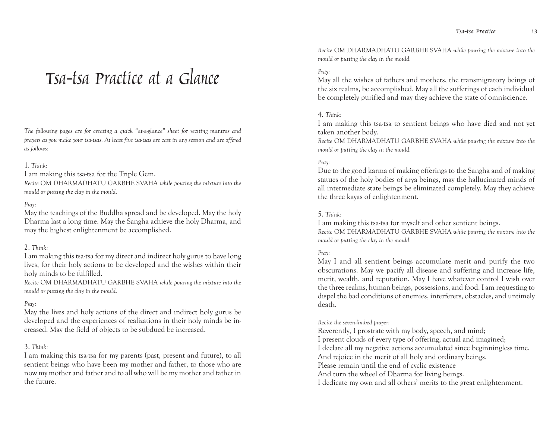## Tsa-tsa Practice at a Glance

*The following pages are for creating a quick "at-a-glance" sheet for reciting mantras and prayers as you make your tsa-tsas. At least five tsa-tsas are cast in any session and are offered as follows:*

#### 1. *Think:*

I am making this tsa-tsa for the Triple Gem.

*Recite* OM DHARMADHATU GARBHE SVAHA *while pouring the mixture into the mould or putting the clay in the mould.*

#### *Pray:*

May the teachings of the Buddha spread and be developed. May the holy Dharma last a long time. May the Sangha achieve the holy Dharma, and may the highest enlightenment be accomplished.

#### 2. *Think:*

I am making this tsa-tsa for my direct and indirect holy gurus to have long lives, for their holy actions to be developed and the wishes within their holy minds to be fulfilled.

*Recite* OM DHARMADHATU GARBHE SVAHA *while pouring the mixture into the mould or putting the clay in the mould.*

#### *Pray:*

May the lives and holy actions of the direct and indirect holy gurus be developed and the experiences of realizations in their holy minds be increased. May the field of objects to be subdued be increased.

#### 3. *Think:*

I am making this tsa-tsa for my parents (past, present and future), to all sentient beings who have been my mother and father, to those who are now my mother and father and to all who will be my mother and father in the future.

*Recite* OM DHARMADHATU GARBHE SVAHA *while pouring the mixture into the mould or putting the clay in the mould.*

#### *Pray:*

May all the wishes of fathers and mothers, the transmigratory beings of the six realms, be accomplished. May all the sufferings of each individual be completely purified and may they achieve the state of omniscience.

#### 4. *Think:*

I am making this tsa-tsa to sentient beings who have died and not yet taken another body.

*Recite* OM DHARMADHATU GARBHE SVAHA *while pouring the mixture into the mould or putting the clay in the mould.*

#### *Pray:*

Due to the good karma of making offerings to the Sangha and of making statues of the holy bodies of arya beings, may the hallucinated minds of all intermediate state beings be eliminated completely. May they achieve the three kayas of enlightenment.

#### 5. *Think:*

I am making this tsa-tsa for myself and other sentient beings. *Recite* OM DHARMADHATU GARBHE SVAHA *while pouring the mixture into the mould or putting the clay in the mould.*

#### *Pray:*

May I and all sentient beings accumulate merit and purify the two obscurations. May we pacify all disease and suffering and increase life, merit, wealth, and reputation. May I have whatever control I wish over the three realms, human beings, possessions, and food. I am requesting to dispel the bad conditions of enemies, interferers, obstacles, and untimely death.

#### *Recite the seven-limbed prayer:*

Reverently, I prostrate with my body, speech, and mind; I present clouds of every type of offering, actual and imagined; I declare all my negative actions accumulated since beginningless time, And rejoice in the merit of all holy and ordinary beings. Please remain until the end of cyclic existence And turn the wheel of Dharma for living beings. I dedicate my own and all others' merits to the great enlightenment.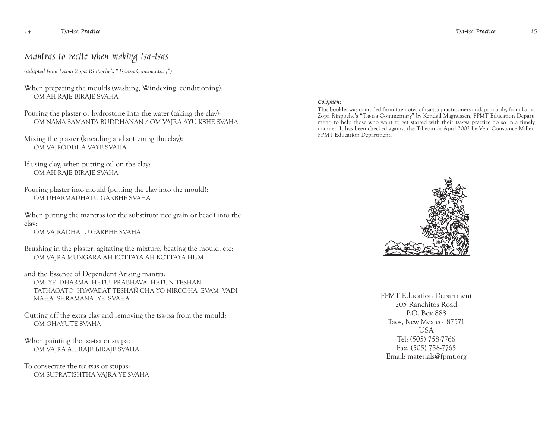### Mantras to recite when making tsa-tsas

*(adapted from Lama Zopa Rinpoche's "Tsa-tsa Commentary")*

- When preparing the moulds (washing, Windexing, conditioning): OM AH RAJE BIRAJE SVAHA
- Pouring the plaster or hydrostone into the water (taking the clay): OM NAMA SAMANTA BUDDHANAN / OM VAJRA AYU KSHE SVAHA
- Mixing the plaster (kneading and softening the clay): OM VAJRODDHA VAYE SVAHA
- If using clay, when putting oil on the clay: OM AH RAJE BIRAJE SVAHA
- Pouring plaster into mould (putting the clay into the mould): OM DHARMADHATU GARBHE SVAHA
- When putting the mantras (or the substitute rice grain or bead) into the clay:

OM VAJRADHATU GARBHE SVAHA

- Brushing in the plaster, agitating the mixture, beating the mould, etc: OM VAJRA MUNGARA AH KOTTAYA AH KOTTAYA HUM
- and the Essence of Dependent Arising mantra: OM YE DHARMA HETU PRABHAVA HETUN TESHAN TATHAGATO HYAVADAT TESHAÑ CHA YO NIRODHA EVAM VADI MAHA SHRAMANA YE SVAHA
- Cutting off the extra clay and removing the tsa-tsa from the mould: OM GHAYUTE SVAHA
- When painting the tsa-tsa or stupa: OM VAJRA AH RAJE BIRAJE SVAHA
- To consecrate the tsa-tsas or stupas: OM SUPRATISHTHA VAJRA YE SVAHA

#### Colophon:

This booklet was compiled from the notes of tsa-tsa practitioners and, primarily, from Lama Zopa Rinpoche's "Tsa-tsa Commentary" by Kendall Magnussen, FPMT Education Department, to help those who want to get started with their tsa-tsa practice do so in a timely manner. It has been checked against the Tibetan in April 2002 by Ven. Constance Miller, FPMT Education Department.



FPMT Education Department 205 Ranchitos Road P.O. Box 888 Taos, New Mexico 87571 USA Tel: (505) 758-7766 Fax: (505) 758-7765 Email: materials@fpmt.org